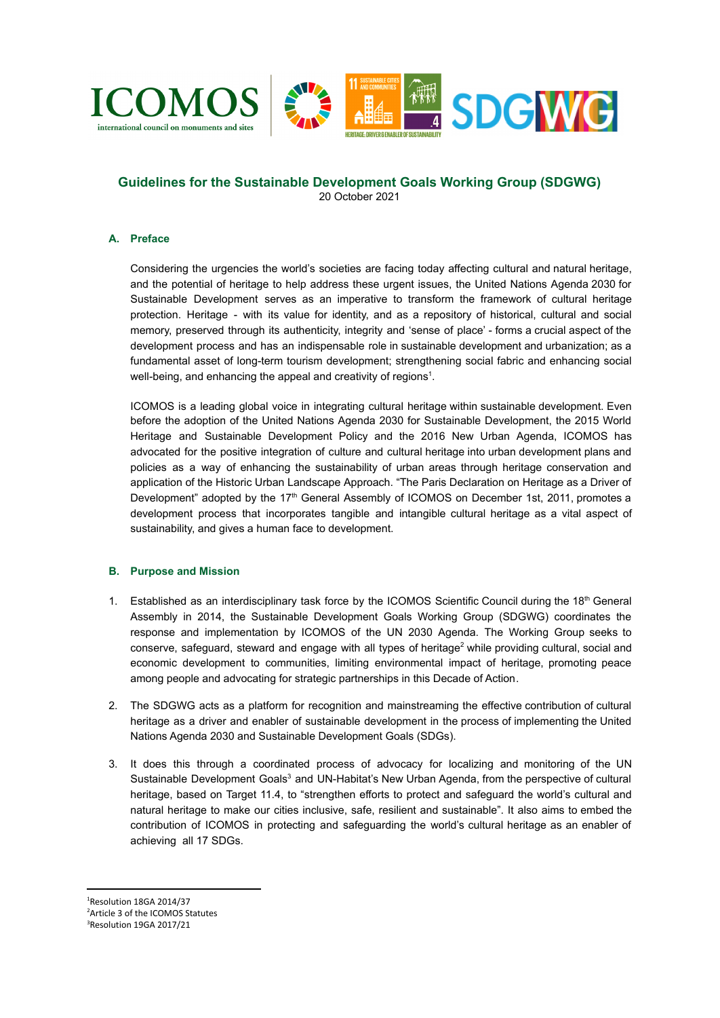

# **Guidelines for the Sustainable Development Goals Working Group (SDGWG)** 20 October 2021

# **A. Preface**

Considering the urgencies the world's societies are facing today affecting cultural and natural heritage, and the potential of heritage to help address these urgent issues, the United Nations Agenda 2030 for Sustainable Development serves as an imperative to transform the framework of cultural heritage protection. Heritage - with its value for identity, and as a repository of historical, cultural and social memory, preserved through its authenticity, integrity and 'sense of place' - forms a crucial aspect of the development process and has an indispensable role in sustainable development and urbanization; as a fundamental asset of long-term tourism development; strengthening social fabric and enhancing social well-being, and enhancing the appeal and creativity of regions<sup>1</sup>.

ICOMOS is a leading global voice in integrating cultural heritage within sustainable development. Even before the adoption of the United Nations Agenda 2030 for Sustainable Development, the 2015 World Heritage and Sustainable Development Policy and the 2016 New Urban Agenda, ICOMOS has advocated for the positive integration of culture and cultural heritage into urban development plans and policies as a way of enhancing the sustainability of urban areas through heritage conservation and application of the Historic Urban Landscape Approach. "The Paris Declaration on Heritage as a Driver of Development" adopted by the 17<sup>th</sup> General Assembly of ICOMOS on December 1st, 2011, promotes a development process that incorporates tangible and intangible cultural heritage as a vital aspect of sustainability, and gives a human face to development.

## **B. Purpose and Mission**

- 1. Established as an interdisciplinary task force by the ICOMOS Scientific Council during the 18th General Assembly in 2014, the Sustainable Development Goals Working Group (SDGWG) coordinates the response and implementation by ICOMOS of the UN 2030 Agenda. The Working Group seeks to conserve, safeguard, steward and engage with all types of heritage<sup>2</sup> while providing cultural, social and economic development to communities, limiting environmental impact of heritage, promoting peace among people and advocating for strategic partnerships in this Decade of Action.
- 2. The SDGWG acts as a platform for recognition and mainstreaming the effective contribution of cultural heritage as a driver and enabler of sustainable development in the process of implementing the United Nations Agenda 2030 and Sustainable Development Goals (SDGs).
- 3. It does this through a coordinated process of advocacy for localizing and monitoring of the UN Sustainable Development Goals<sup>3</sup> and UN-Habitat's New Urban Agenda, from the perspective of cultural heritage, based on Target 11.4, to "strengthen efforts to protect and safeguard the world's cultural and natural heritage to make our cities inclusive, safe, resilient and sustainable". It also aims to embed the contribution of ICOMOS in protecting and safeguarding the world's cultural heritage as an enabler of achieving all 17 SDGs.

<sup>3</sup>Resolution 19GA 2017/21 <sup>2</sup>Article 3 of the ICOMOS Statutes <sup>1</sup>Resolution 18GA 2014/37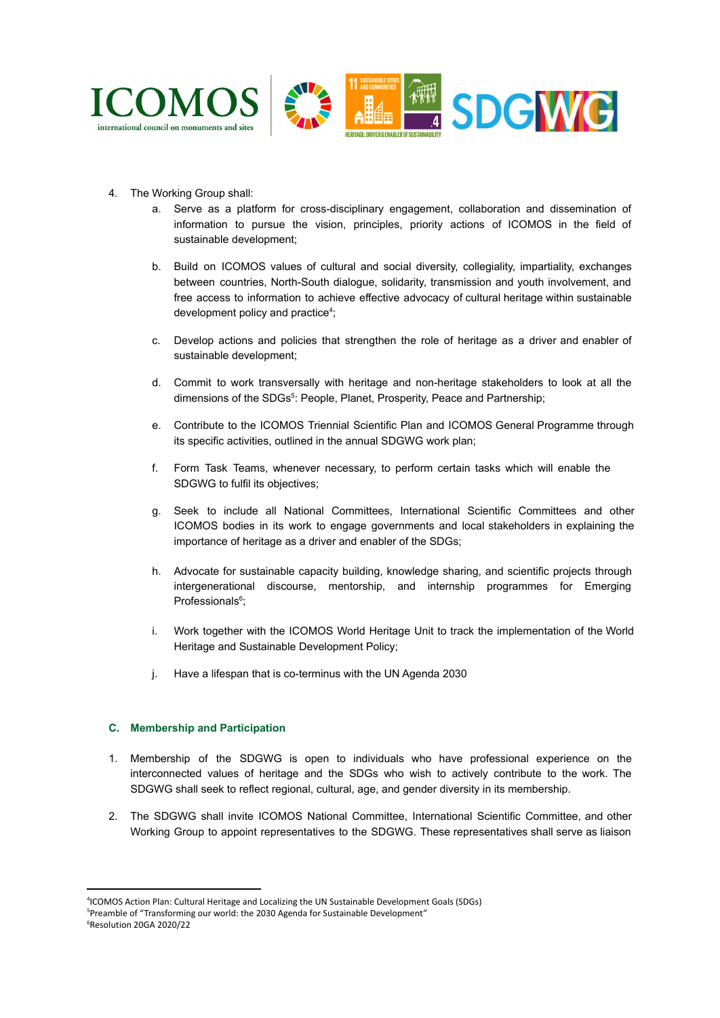

- 4. The Working Group shall:
	- a. Serve as a platform for cross-disciplinary engagement, collaboration and dissemination of information to pursue the vision, principles, priority actions of ICOMOS in the field of sustainable development;
	- b. Build on ICOMOS values of cultural and social diversity, collegiality, impartiality, exchanges between countries, North-South dialogue, solidarity, transmission and youth involvement, and free access to information to achieve effective advocacy of cultural heritage within sustainable development policy and practice<sup>4</sup>;
	- c. Develop actions and policies that strengthen the role of heritage as a driver and enabler of sustainable development;
	- d. Commit to work transversally with heritage and non-heritage stakeholders to look at all the dimensions of the SDGs<sup>5</sup>: People, Planet, Prosperity, Peace and Partnership;
	- e. Contribute to the ICOMOS Triennial Scientific Plan and ICOMOS General Programme through its specific activities, outlined in the annual SDGWG work plan;
	- f. Form Task Teams, whenever necessary, to perform certain tasks which will enable the SDGWG to fulfil its objectives;
	- g. Seek to include all National Committees, International Scientific Committees and other ICOMOS bodies in its work to engage governments and local stakeholders in explaining the importance of heritage as a driver and enabler of the SDGs;
	- h. Advocate for sustainable capacity building, knowledge sharing, and scientific projects through intergenerational discourse, mentorship, and internship programmes for Emerging Professionals<sup>6</sup>;
	- i. Work together with the ICOMOS World Heritage Unit to track the implementation of the World Heritage and Sustainable Development Policy;
	- j. Have a lifespan that is co-terminus with the UN Agenda 2030

# **C. Membership and Participation**

- 1. Membership of the SDGWG is open to individuals who have professional experience on the interconnected values of heritage and the SDGs who wish to actively contribute to the work. The SDGWG shall seek to reflect regional, cultural, age, and gender diversity in its membership.
- 2. The SDGWG shall invite ICOMOS National Committee, International Scientific Committee, and other Working Group to appoint representatives to the SDGWG. These representatives shall serve as liaison

<sup>4</sup> ICOMOS Action Plan: Cultural Heritage and Localizing the UN Sustainable Development Goals (SDGs)

<sup>6</sup>Resolution 20GA 2020/22 <sup>5</sup>Preamble of "Transforming our world: the 2030 Agenda for Sustainable Development"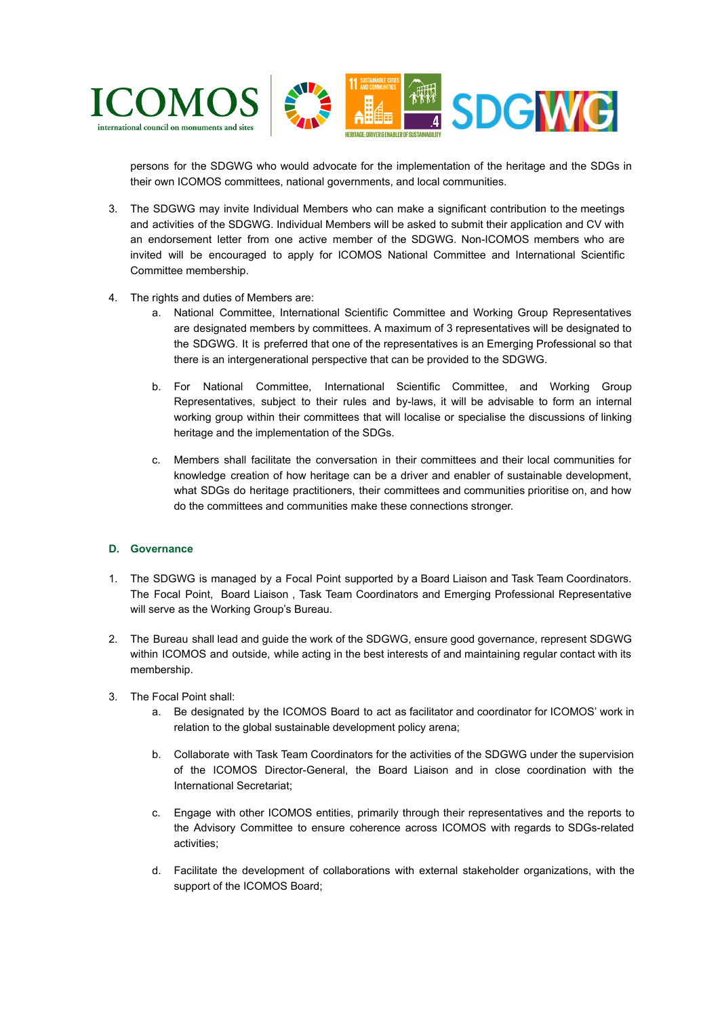

persons for the SDGWG who would advocate for the implementation of the heritage and the SDGs in their own ICOMOS committees, national governments, and local communities.

- 3. The SDGWG may invite Individual Members who can make a significant contribution to the meetings and activities of the SDGWG. Individual Members will be asked to submit their application and CV with an endorsement letter from one active member of the SDGWG. Non-ICOMOS members who are invited will be encouraged to apply for ICOMOS National Committee and International Scientific Committee membership.
- 4. The rights and duties of Members are:
	- a. National Committee, International Scientific Committee and Working Group Representatives are designated members by committees. A maximum of 3 representatives will be designated to the SDGWG. It is preferred that one of the representatives is an Emerging Professional so that there is an intergenerational perspective that can be provided to the SDGWG.
	- b. For National Committee, International Scientific Committee, and Working Group Representatives, subject to their rules and by-laws, it will be advisable to form an internal working group within their committees that will localise or specialise the discussions of linking heritage and the implementation of the SDGs.
	- c. Members shall facilitate the conversation in their committees and their local communities for knowledge creation of how heritage can be a driver and enabler of sustainable development, what SDGs do heritage practitioners, their committees and communities prioritise on, and how do the committees and communities make these connections stronger.

# **D. Governance**

- 1. The SDGWG is managed by a Focal Point supported by a Board Liaison and Task Team Coordinators. The Focal Point, Board Liaison , Task Team Coordinators and Emerging Professional Representative will serve as the Working Group's Bureau.
- 2. The Bureau shall lead and guide the work of the SDGWG, ensure good governance, represent SDGWG within ICOMOS and outside, while acting in the best interests of and maintaining regular contact with its membership.
- 3. The Focal Point shall:
	- a. Be designated by the ICOMOS Board to act as facilitator and coordinator for ICOMOS' work in relation to the global sustainable development policy arena;
	- b. Collaborate with Task Team Coordinators for the activities of the SDGWG under the supervision of the ICOMOS Director-General, the Board Liaison and in close coordination with the International Secretariat;
	- c. Engage with other ICOMOS entities, primarily through their representatives and the reports to the Advisory Committee to ensure coherence across ICOMOS with regards to SDGs-related activities;
	- d. Facilitate the development of collaborations with external stakeholder organizations, with the support of the ICOMOS Board;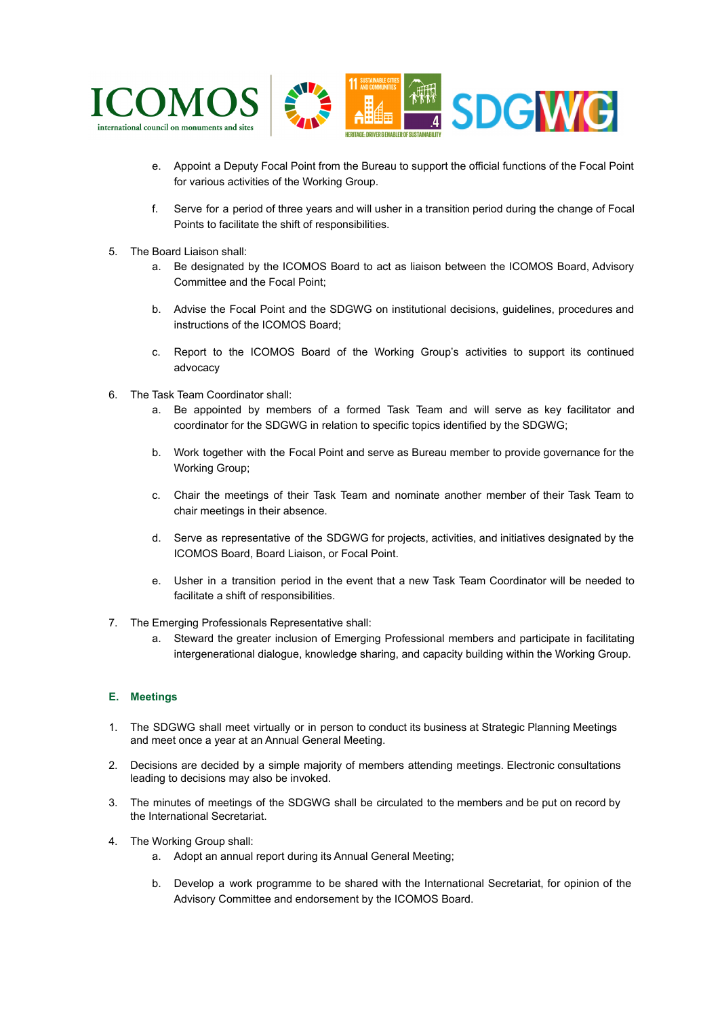

- e. Appoint a Deputy Focal Point from the Bureau to support the official functions of the Focal Point for various activities of the Working Group.
- f. Serve for a period of three years and will usher in a transition period during the change of Focal Points to facilitate the shift of responsibilities.
- 5. The Board Liaison shall:
	- a. Be designated by the ICOMOS Board to act as liaison between the ICOMOS Board, Advisory Committee and the Focal Point;
	- b. Advise the Focal Point and the SDGWG on institutional decisions, guidelines, procedures and instructions of the ICOMOS Board;
	- c. Report to the ICOMOS Board of the Working Group's activities to support its continued advocacy
- 6. The Task Team Coordinator shall:
	- a. Be appointed by members of a formed Task Team and will serve as key facilitator and coordinator for the SDGWG in relation to specific topics identified by the SDGWG;
	- b. Work together with the Focal Point and serve as Bureau member to provide governance for the Working Group;
	- c. Chair the meetings of their Task Team and nominate another member of their Task Team to chair meetings in their absence.
	- d. Serve as representative of the SDGWG for projects, activities, and initiatives designated by the ICOMOS Board, Board Liaison, or Focal Point.
	- e. Usher in a transition period in the event that a new Task Team Coordinator will be needed to facilitate a shift of responsibilities.
- 7. The Emerging Professionals Representative shall:
	- a. Steward the greater inclusion of Emerging Professional members and participate in facilitating intergenerational dialogue, knowledge sharing, and capacity building within the Working Group.

# **E. Meetings**

- 1. The SDGWG shall meet virtually or in person to conduct its business at Strategic Planning Meetings and meet once a year at an Annual General Meeting.
- 2. Decisions are decided by a simple majority of members attending meetings. Electronic consultations leading to decisions may also be invoked.
- 3. The minutes of meetings of the SDGWG shall be circulated to the members and be put on record by the International Secretariat.
- 4. The Working Group shall:
	- a. Adopt an annual report during its Annual General Meeting;
	- b. Develop a work programme to be shared with the International Secretariat, for opinion of the Advisory Committee and endorsement by the ICOMOS Board.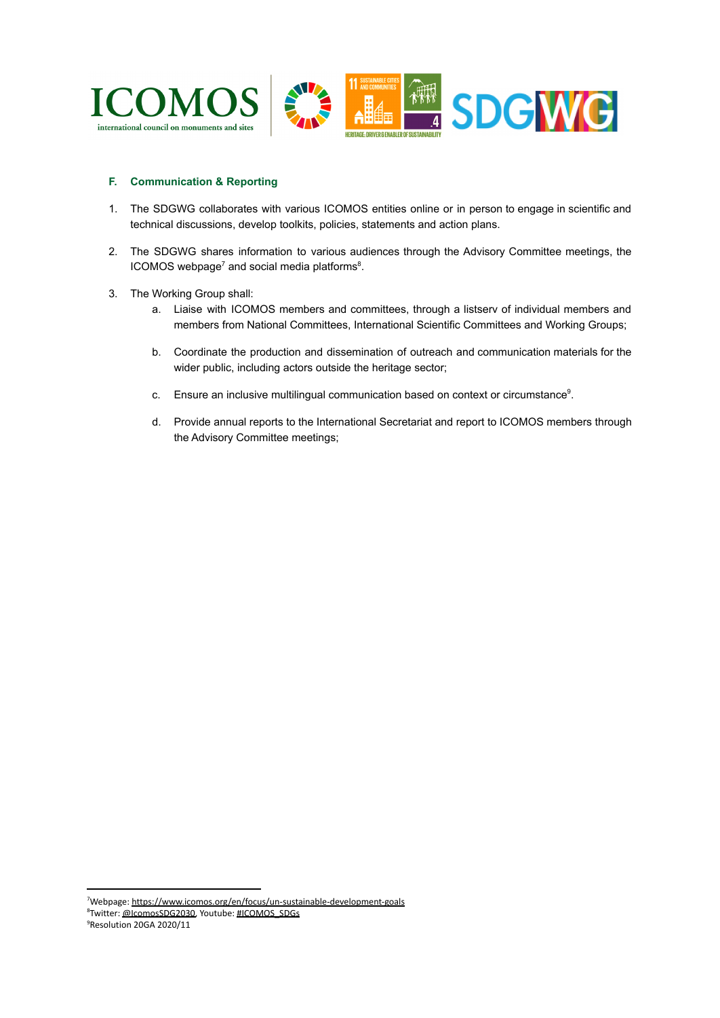

## **F. Communication & Reporting**

- 1. The SDGWG collaborates with various ICOMOS entities online or in person to engage in scientific and technical discussions, develop toolkits, policies, statements and action plans.
- 2. The SDGWG shares information to various audiences through the Advisory Committee meetings, the  $ICOMOS$  webpage<sup>7</sup> and social media platforms<sup>8</sup>.
- 3. The Working Group shall:
	- a. Liaise with ICOMOS members and committees, through a listserv of individual members and members from National Committees, International Scientific Committees and Working Groups;
	- b. Coordinate the production and dissemination of outreach and communication materials for the wider public, including actors outside the heritage sector;
	- c. Ensure an inclusive multilingual communication based on context or circumstance<sup>9</sup>.
	- d. Provide annual reports to the International Secretariat and report to ICOMOS members through the Advisory Committee meetings;

<sup>7</sup>Webpage: <https://www.icomos.org/en/focus/un-sustainable-development-goals>

<sup>&</sup>lt;sup>8</sup>Twitter: [@IcomosSDG2030,](https://twitter.com/icomossdg2030?lang=en) Youtube: [#ICOMOS\\_SDGs](https://www.youtube.com/channel/UCf2Z-PyRSA3ImbR-myP807g)

<sup>9</sup>Resolution 20GA 2020/11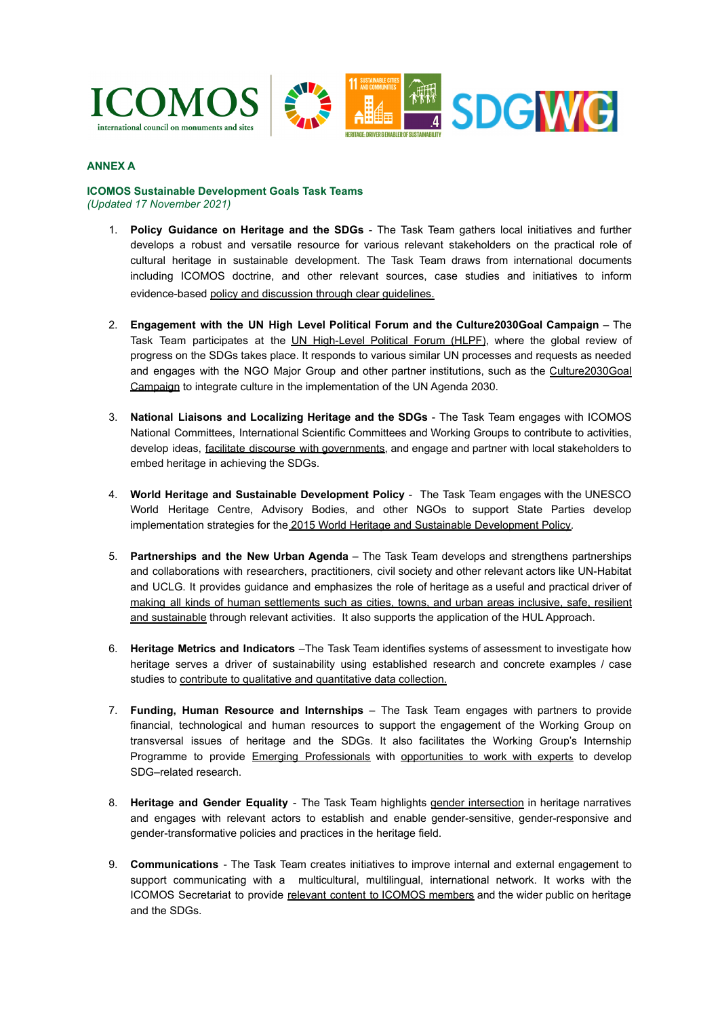



# **ANNEX A**

#### **ICOMOS Sustainable Development Goals Task Teams** *(Updated 17 November 2021)*

- 1. **Policy Guidance on Heritage and the SDGs** The Task Team gathers local initiatives and further develops a robust and versatile resource for various relevant stakeholders on the practical role of cultural heritage in sustainable development. The Task Team draws from international documents including ICOMOS doctrine, and other relevant sources, case studies and initiatives to inform evidence-based [policy and discussion through clear](https://www.icomos.org/images/DOCUMENTS/Secretariat/2021/SDG/ICOMOS_SDGs_Policy_Guidance_2021.pdf) guidelines.
- 2. **Engagement with the UN High Level Political Forum and the Culture2030Goal Campaign** The Task Team participates at the UN [High-Level](https://sustainabledevelopment.un.org/hlpf) Political Forum (HLPF), where the global review of progress on the SDGs takes place. It responds to various similar UN processes and requests as needed and engages with the NGO Major Group and other partner institutions, such as the [Culture2030Goal](http://culture2030goal.net/) [Campaign](http://culture2030goal.net/) to integrate culture in the implementation of the UN Agenda 2030.
- 3. **National Liaisons and Localizing Heritage and the SDGs** The Task Team engages with ICOMOS National Committees, International Scientific Committees and Working Groups to contribute to activities, develop ideas, facilitate discourse with [governments,](https://sdgs.un.org/topics/voluntary-local-reviews) and engage and partner with local stakeholders to embed heritage in achieving the SDGs.
- 4. **World Heritage and Sustainable Development Policy** The Task Team engages with the UNESCO World Heritage Centre, Advisory Bodies, and other NGOs to support State Parties develop implementation strategies for the 2015 World Heritage [and Sustainable Development Policy.](https://whc.unesco.org/en/sustainabledevelopment/)
- 5. **Partnerships and the New Urban Agenda** The Task Team develops and strengthens partnerships and collaborations with researchers, practitioners, civil society and other relevant actors like UN-Habitat and UCLG. It provides guidance and emphasizes the role of heritage as a useful and practical driver of making all kinds of human [settlements](https://sdgs.un.org/goals/goal11) such as cities, towns, and urban areas inclusive, safe, resilient [and sustainable](https://sdgs.un.org/goals/goal11) through relevant activities. It also supports the application of the HUL Approach.
- 6. **Heritage Metrics and Indicators** –The Task Team identifies systems of assessment to investigate how heritage serves a driver of sustainability using established research and concrete examples / case studies to [contribute to qualitative and quantitative](https://whc.unesco.org/en/culture2030indicators/) data collection.
- 7. **Funding, Human Resource and Internships** The Task Team engages with partners to provide financial, technological and human resources to support the engagement of the Working Group on transversal issues of heritage and the SDGs. It also facilitates the Working Group's Internship Programme to provide Emerging [Professionals](https://www.icomos.org/en/about-icomos/committees/emerging-professionals) with [opportunities](https://sdgs.un.org/goals/goal4) to work with experts to develop SDG–related research.
- 8. **Heritage and Gender Equality** The Task Team highlights gender [intersection](https://sdgs.un.org/goals/goal5) in heritage narratives and engages with relevant actors to establish and enable gender-sensitive, gender-responsive and gender-transformative policies and practices in the heritage field.
- 9. **Communications** The Task Team creates initiatives to improve internal and external engagement to support communicating with a multicultural, multilingual, international network. It works with the ICOMOS Secretariat to provide relevant content to ICOMOS [members](https://www.icomos.org/en/focus/un-sustainable-development-goals) and the wider public on heritage and the SDGs.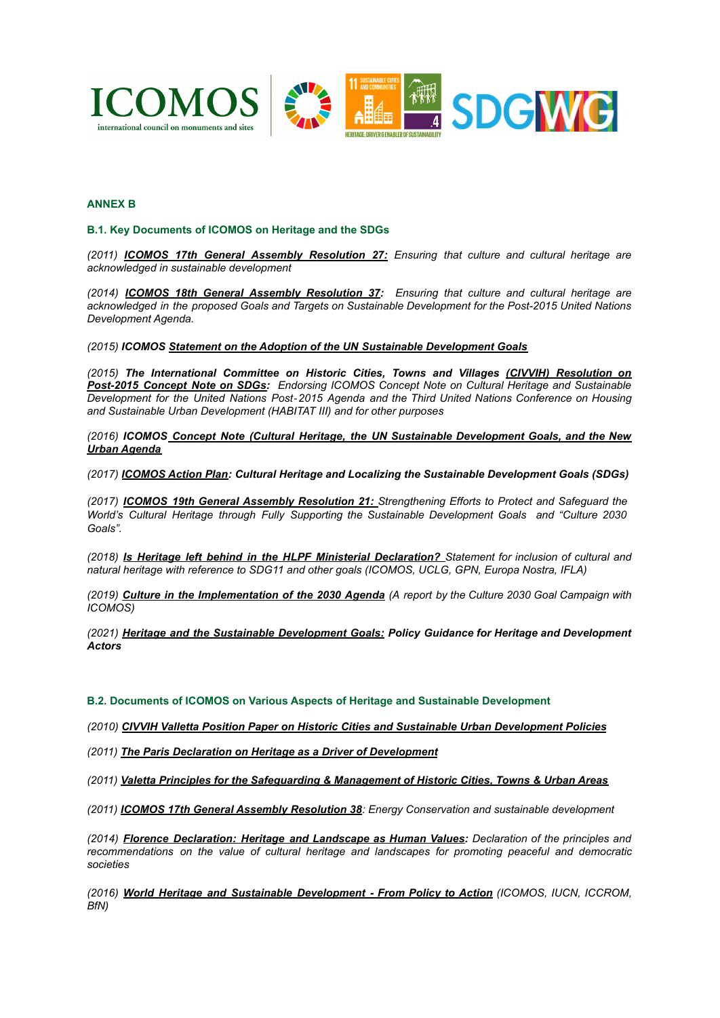

## **ANNEX B**

## **B.1. Key Documents of ICOMOS on Heritage and the SDGs**

*(2011) ICOMOS 17th General Assembly [Resolution](https://www.icomos.org/Paris2011/GA_2011_Resolutions_EN_finaldistr_20120109.pdf) 27: Ensuring that culture and cultural heritage are acknowledged in sustainable development*

*(2014) ICOMOS 18th General Assembly [Resolution](https://www.icomos.org/images/DOCUMENTS/Secretariat/2015/GA_2014_results/GA_2014_Resolutions_EN_20150109_finalcirc.pdf#page=18) 37: Ensuring that culture and cultural heritage are acknowledged in the proposed Goals and Targets on Sustainable Development for the Post-2015 United Nations Development Agenda.*

*(2015) ICOMOS [Statement on the Adoption of the UN](http://www.icomos.org/en/what-we-do/focus/un-sustainable-development-goals/4372-statement-by-icomos-on-the-adoption-of-the-un-sustainable-development-goals) Sustainable Development Goals*

*(2015) The International Committee on Historic Cities, Towns and Villages (CIVVIH) [Resolution](http://civvih.icomos.org/sites/default/files/CIVVIHSyros%20%20Resolution%20on%20Post-2015%20Concept%20Note%20on%20SDGs.pdf) on [Post-2015](http://civvih.icomos.org/sites/default/files/CIVVIHSyros%20%20Resolution%20on%20Post-2015%20Concept%20Note%20on%20SDGs.pdf) Concept Note on SDGs: Endorsing ICOMOS Concept Note on Cultural Heritage and Sustainable Development for the United Nations Post*‐*2015 Agenda and the Third United Nations Conference on Housing and Sustainable Urban Development (HABITAT III) and for other purposes*

*(2016) ICOMOS Concept Note (Cultural Heritage, the UN Sustainable [Development](http://www.usicomos.org/wp-content/uploads/2016/05/Final-Concept-Note.pdf) Goals, and the New [Urban Agenda](http://www.usicomos.org/wp-content/uploads/2016/05/Final-Concept-Note.pdf)*

*(2017) [ICOMOS Action Plan](https://www.icomos.org/images/DOCUMENTS/Secretariat/2017/ICOMOS_Action_Plan_Cult_Heritage_and_Localizing_SDGs_20170721.pdf): Cultural Heritage and Localizing the Sustainable Development Goals (SDGs)*

*(2017) ICOMOS 19th General Assembly [Resolution](https://www.icomos.org/images/DOCUMENTS/General_Assemblies/19th_Delhi_2017/19th_GA_Outcomes/GA2017_Resolutions_EN_20180206finalcirc.pdf#page=11) 21: Strengthening Efforts to Protect and Safeguard the World's Cultural Heritage through Fully Supporting the Sustainable Development Goals and "Culture 2030 Goals".*

*(2018) Is Heritage left behind in the HLPF Ministerial [Declaration?](https://www.icomos.org/images/DOCUMENTS/Secretariat/2018/SDGs/IS_HERITAGE_LEFT_BEHIND_IN_MIN.DECLARATION_20180716.pdf) Statement for inclusion of cultural and natural heritage with reference to SDG11 and other goals (ICOMOS, UCLG, GPN, Europa Nostra, IFLA)*

(2019) Culture in the [Implementation](https://www.icomos.org/images/DOCUMENTS/UN_SDG/culture2030goal_low.pdf) of the 2030 Agenda (A report by the Culture 2030 Goal Campaign with *ICOMOS)*

*(2021) Heritage and the Sustainable [Development](https://www.icomos.org/images/DOCUMENTS/Secretariat/2021/SDG/ICOMOS_SDGs_Policy_Guidance_2021.pdf) Goals: Policy Guidance for Heritage and Development Actors*

#### **B.2. Documents of ICOMOS on Various Aspects of Heritage and Sustainable Development**

*(2010) CIVVIH Valletta Position Paper on Historic [Cities and Sustainable Urban Development Policies](https://www.icomos.org/images/DOCUMENTS/Working_Groups/SDG/ICOMOS_2010_Valletta_Position_Paper_on_Historic_Cities_and_SD-_en-fr.pdf)*

*(2011) The [Paris Declaration on Heritage as a Driver](https://www.icomos.org/Paris2011/GA2011_Declaration_de_Paris_EN_20120109.pdf) of Development*

*(2011) [Valetta Principles for the Safeguarding & Management](https://www.icomos.org/Paris2011/GA2011_CIVVIH_text_EN_FR_final_20120110.pdf) of Historic Cities, Towns & Urban Areas*

*(2011) [ICOMOS 17th General Assembly Resolution 38](https://www.icomos.org/Paris2011/GA_2011_Resolutions_EN_finaldistr_20120109.pdf#page=21): Energy Conservation and sustainable development*

*(2014) Florence [Declaration:](https://www.icomos.org/images/DOCUMENTS/Secretariat/2015/GA_2014_results/GA2014_Symposium_FlorenceDeclaration_EN_final_20150318.pdf) Heritage and Landscape as Human Values: Declaration of the principles and recommendations on the value of cultural heritage and landscapes for promoting peaceful and democratic societies*

*(2016) World Heritage and Sustainable [Development](https://whc.unesco.org/document/157757) - From Policy to Action (ICOMOS, IUCN, ICCROM, BfN)*